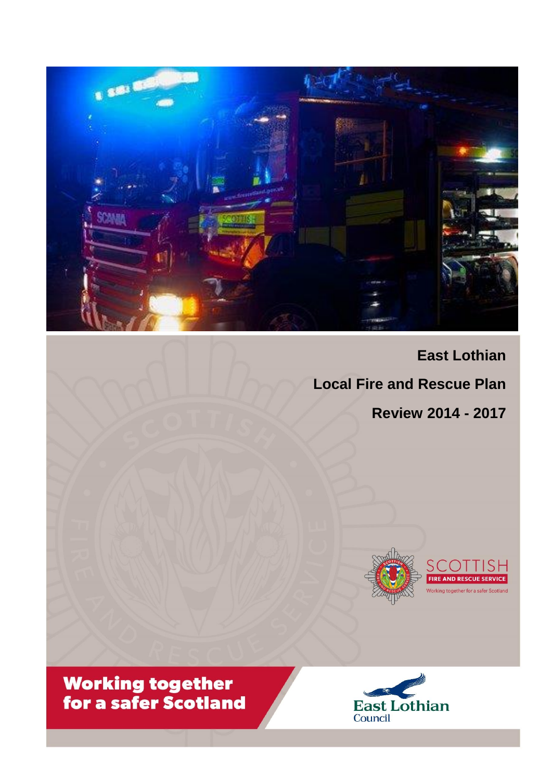

**East Lothian Local Fire and Rescue Plan Review 2014 - 2017**





**Working together<br>for a safer Scotland** 

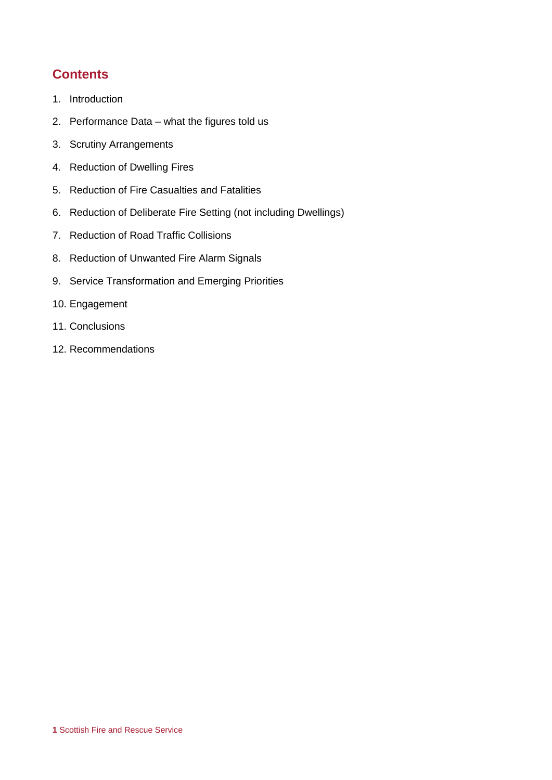## **Contents**

- 1. Introduction
- 2. Performance Data what the figures told us
- 3. Scrutiny Arrangements
- 4. Reduction of Dwelling Fires
- 5. Reduction of Fire Casualties and Fatalities
- 6. Reduction of Deliberate Fire Setting (not including Dwellings)
- 7. Reduction of Road Traffic Collisions
- 8. Reduction of Unwanted Fire Alarm Signals
- 9. Service Transformation and Emerging Priorities
- 10. Engagement
- 11. Conclusions
- 12. Recommendations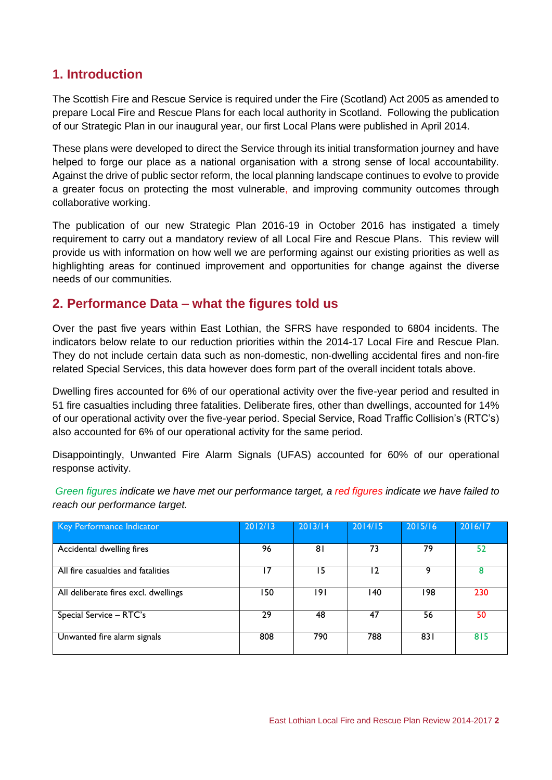## **1. Introduction**

The Scottish Fire and Rescue Service is required under the Fire (Scotland) Act 2005 as amended to prepare Local Fire and Rescue Plans for each local authority in Scotland. Following the publication of our Strategic Plan in our inaugural year, our first Local Plans were published in April 2014.

These plans were developed to direct the Service through its initial transformation journey and have helped to forge our place as a national organisation with a strong sense of local accountability. Against the drive of public sector reform, the local planning landscape continues to evolve to provide a greater focus on protecting the most vulnerable, and improving community outcomes through collaborative working.

The publication of our new Strategic Plan 2016-19 in October 2016 has instigated a timely requirement to carry out a mandatory review of all Local Fire and Rescue Plans. This review will provide us with information on how well we are performing against our existing priorities as well as highlighting areas for continued improvement and opportunities for change against the diverse needs of our communities.

### **2. Performance Data – what the figures told us**

Over the past five years within East Lothian, the SFRS have responded to 6804 incidents. The indicators below relate to our reduction priorities within the 2014-17 Local Fire and Rescue Plan. They do not include certain data such as non-domestic, non-dwelling accidental fires and non-fire related Special Services, this data however does form part of the overall incident totals above.

Dwelling fires accounted for 6% of our operational activity over the five-year period and resulted in 51 fire casualties including three fatalities. Deliberate fires, other than dwellings, accounted for 14% of our operational activity over the five-year period. Special Service, Road Traffic Collision's (RTC's) also accounted for 6% of our operational activity for the same period.

Disappointingly, Unwanted Fire Alarm Signals (UFAS) accounted for 60% of our operational response activity.

*Green figures indicate we have met our performance target, a red figures indicate we have failed to reach our performance target.*

| Key Performance Indicator            | 2012/13 | 2013/14 | 2014/15      | 2015/16 | 2016/17 |
|--------------------------------------|---------|---------|--------------|---------|---------|
| Accidental dwelling fires            | 96      | 81      | 73           | 79      | 52      |
| All fire casualties and fatalities   | 17      | 15      | $\mathbf{2}$ | 9       | 8       |
| All deliberate fires excl. dwellings | 50      | 191     | 140          | 198     | 230     |
| Special Service - RTC's              | 29      | 48      | 47           | 56      | 50      |
| Unwanted fire alarm signals          | 808     | 790     | 788          | 831     | 815     |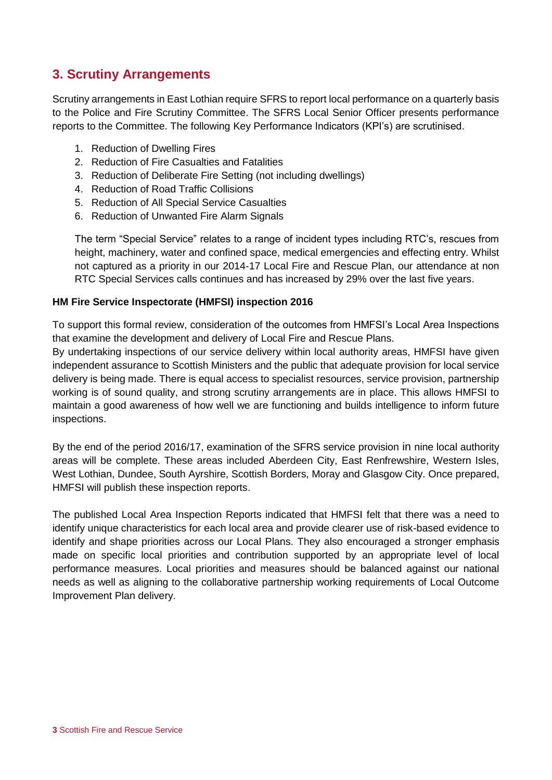## **3. Scrutiny Arrangements**

Scrutiny arrangements in East Lothian require SFRS to report local performance on a quarterly basis to the Police and Fire Scrutiny Committee. The SFRS Local Senior Officer presents performance reports to the Committee. The following Key Performance Indicators (KPI's) are scrutinised.

- 1. Reduction of Dwelling Fires
- 2. Reduction of Fire Casualties and Fatalities
- 3. Reduction of Deliberate Fire Setting (not including dwellings)
- 4. Reduction of Road Traffic Collisions
- 5. Reduction of All Special Service Casualties
- 6. Reduction of Unwanted Fire Alarm Signals

The term "Special Service" relates to a range of incident types including RTC's, rescues from height, machinery, water and confined space, medical emergencies and effecting entry. Whilst not captured as a priority in our 2014-17 Local Fire and Rescue Plan, our attendance at non RTC Special Services calls continues and has increased by 29% over the last five years.

#### **HM Fire Service Inspectorate (HMFSI) inspection 2016**

To support this formal review, consideration of the outcomes from HMFSI's Local Area Inspections that examine the development and delivery of Local Fire and Rescue Plans.

By undertaking inspections of our service delivery within local authority areas, HMFSI have given independent assurance to Scottish Ministers and the public that adequate provision for local service delivery is being made. There is equal access to specialist resources, service provision, partnership working is of sound quality, and strong scrutiny arrangements are in place. This allows HMFSI to maintain a good awareness of how well we are functioning and builds intelligence to inform future inspections.

By the end of the period 2016/17, examination of the SFRS service provision in nine local authority areas will be complete. These areas included Aberdeen City, East Renfrewshire, Western Isles, West Lothian, Dundee, South Ayrshire, Scottish Borders, Moray and Glasgow City. Once prepared, HMFSI will publish these inspection reports.

The published Local Area Inspection Reports indicated that HMFSI felt that there was a need to identify unique characteristics for each local area and provide clearer use of risk-based evidence to identify and shape priorities across our Local Plans. They also encouraged a stronger emphasis made on specific local priorities and contribution supported by an appropriate level of local performance measures. Local priorities and measures should be balanced against our national needs as well as aligning to the collaborative partnership working requirements of Local Outcome Improvement Plan delivery.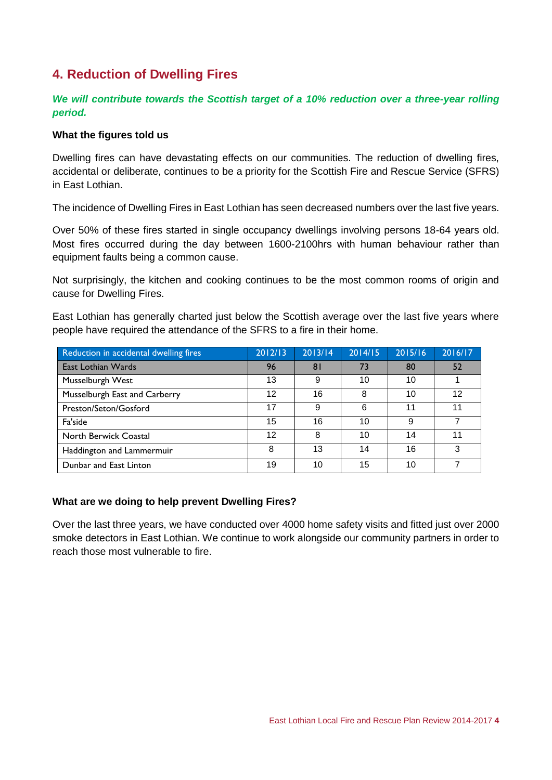# **4. Reduction of Dwelling Fires**

### *We will contribute towards the Scottish target of a 10% reduction over a three-year rolling period.*

#### **What the figures told us**

Dwelling fires can have devastating effects on our communities. The reduction of dwelling fires, accidental or deliberate, continues to be a priority for the Scottish Fire and Rescue Service (SFRS) in East Lothian.

The incidence of Dwelling Fires in East Lothian has seen decreased numbers over the last five years.

Over 50% of these fires started in single occupancy dwellings involving persons 18-64 years old. Most fires occurred during the day between 1600-2100hrs with human behaviour rather than equipment faults being a common cause.

Not surprisingly, the kitchen and cooking continues to be the most common rooms of origin and cause for Dwelling Fires.

East Lothian has generally charted just below the Scottish average over the last five years where people have required the attendance of the SFRS to a fire in their home.

| Reduction in accidental dwelling fires | 2012/13 | 2013/14        | 2014/15 | 2015/16 | 2016/17 |
|----------------------------------------|---------|----------------|---------|---------|---------|
| East Lothian Wards                     | 96      | 8 <sup>1</sup> | 73      | 80      | 52      |
| Musselburgh West                       | 13      | 9              | 10      | 10      |         |
| Musselburgh East and Carberry          | 12      | 16             | 8       | 10      | 12      |
| Preston/Seton/Gosford                  | 17      | 9              | 6       | 11      | 11      |
| Fa'side                                | 15      | 16             | 10      | 9       |         |
| North Berwick Coastal                  | 12      | 8              | 10      | 14      | 11      |
| Haddington and Lammermuir              | 8       | 13             | 14      | 16      | З       |
| Dunbar and East Linton                 | 19      | 10             | 15      | 10      |         |

#### **What are we doing to help prevent Dwelling Fires?**

Over the last three years, we have conducted over 4000 home safety visits and fitted just over 2000 smoke detectors in East Lothian. We continue to work alongside our community partners in order to reach those most vulnerable to fire.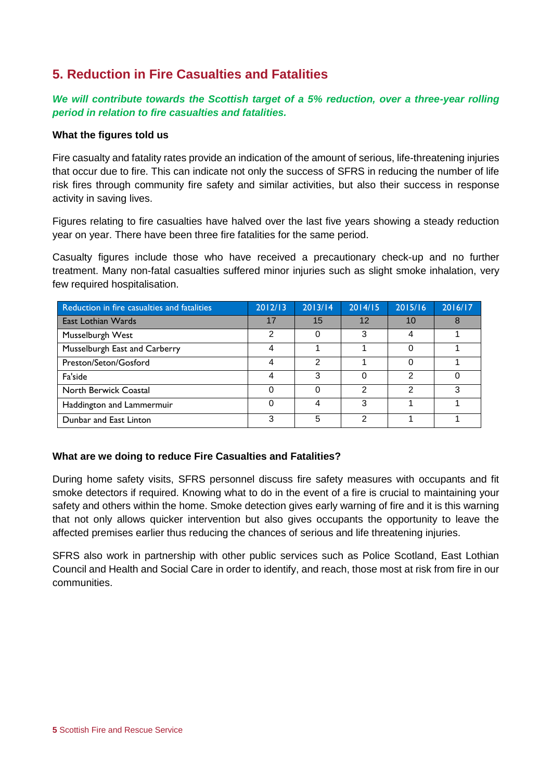## **5. Reduction in Fire Casualties and Fatalities**

### *We will contribute towards the Scottish target of a 5% reduction, over a three-year rolling period in relation to fire casualties and fatalities.*

#### **What the figures told us**

Fire casualty and fatality rates provide an indication of the amount of serious, life-threatening injuries that occur due to fire. This can indicate not only the success of SFRS in reducing the number of life risk fires through community fire safety and similar activities, but also their success in response activity in saving lives.

Figures relating to fire casualties have halved over the last five years showing a steady reduction year on year. There have been three fire fatalities for the same period.

Casualty figures include those who have received a precautionary check-up and no further treatment. Many non-fatal casualties suffered minor injuries such as slight smoke inhalation, very few required hospitalisation.

| Reduction in fire casualties and fatalities | 2012/13 | 2013/14 | 2014/15 | 2015/16 | 2016/17 |
|---------------------------------------------|---------|---------|---------|---------|---------|
| East Lothian Wards                          | 17      | 15      | 12      | 10      | 8       |
| Musselburgh West                            | 2       | 0       | 3       | 4       |         |
| Musselburgh East and Carberry               | 4       |         |         | 0       |         |
| Preston/Seton/Gosford                       | 4       | 2       |         | 0       |         |
| Fa'side                                     | 4       | 3       | 0       | 2       |         |
| North Berwick Coastal                       |         | Ω       | າ       | っ       | ว       |
| Haddington and Lammermuir                   | 0       |         | 3       |         |         |
| Dunbar and East Linton                      | 3       | 5       | າ       |         |         |

#### **What are we doing to reduce Fire Casualties and Fatalities?**

During home safety visits, SFRS personnel discuss fire safety measures with occupants and fit smoke detectors if required. Knowing what to do in the event of a fire is crucial to maintaining your safety and others within the home. Smoke detection gives early warning of fire and it is this warning that not only allows quicker intervention but also gives occupants the opportunity to leave the affected premises earlier thus reducing the chances of serious and life threatening injuries.

SFRS also work in partnership with other public services such as Police Scotland, East Lothian Council and Health and Social Care in order to identify, and reach, those most at risk from fire in our communities.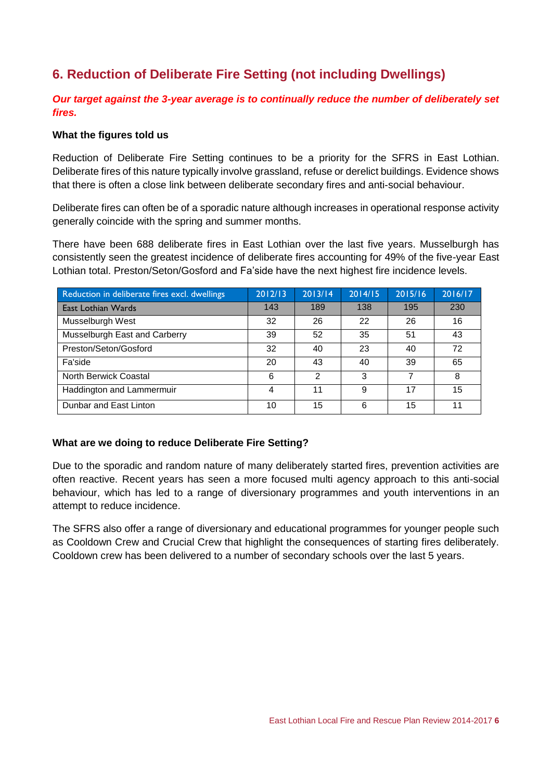# **6. Reduction of Deliberate Fire Setting (not including Dwellings)**

### *Our target against the 3-year average is to continually reduce the number of deliberately set fires.*

#### **What the figures told us**

Reduction of Deliberate Fire Setting continues to be a priority for the SFRS in East Lothian. Deliberate fires of this nature typically involve grassland, refuse or derelict buildings. Evidence shows that there is often a close link between deliberate secondary fires and anti-social behaviour.

Deliberate fires can often be of a sporadic nature although increases in operational response activity generally coincide with the spring and summer months.

There have been 688 deliberate fires in East Lothian over the last five years. Musselburgh has consistently seen the greatest incidence of deliberate fires accounting for 49% of the five-year East Lothian total. Preston/Seton/Gosford and Fa'side have the next highest fire incidence levels.

| Reduction in deliberate fires excl. dwellings | 2012/13 | 2013/14 | 2014/15 | 2015/16 | 2016/17 |
|-----------------------------------------------|---------|---------|---------|---------|---------|
| East Lothian Wards                            | 143     | 189     | 138     | 195     | 230     |
| Musselburgh West                              | 32      | 26      | 22      | 26      | 16      |
| Musselburgh East and Carberry                 | 39      | 52      | 35      | 51      | 43      |
| Preston/Seton/Gosford                         | 32      | 40      | 23      | 40      | 72      |
| Fa'side                                       | 20      | 43      | 40      | 39      | 65      |
| North Berwick Coastal                         | 6       | 2       | 3       |         | 8       |
| Haddington and Lammermuir                     | 4       | 11      | 9       | 17      | 15      |
| Dunbar and East Linton                        | 10      | 15      | 6       | 15      | 11      |

#### **What are we doing to reduce Deliberate Fire Setting?**

Due to the sporadic and random nature of many deliberately started fires, prevention activities are often reactive. Recent years has seen a more focused multi agency approach to this anti-social behaviour, which has led to a range of diversionary programmes and youth interventions in an attempt to reduce incidence.

The SFRS also offer a range of diversionary and educational programmes for younger people such as Cooldown Crew and Crucial Crew that highlight the consequences of starting fires deliberately. Cooldown crew has been delivered to a number of secondary schools over the last 5 years.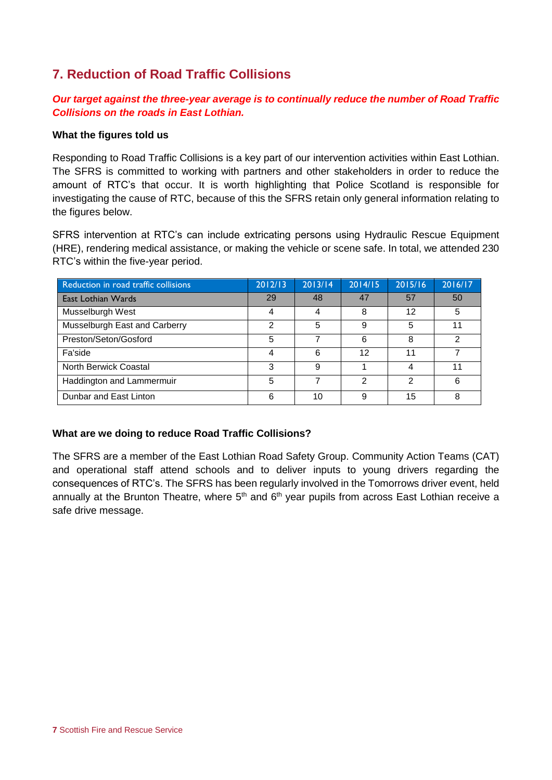# **7. Reduction of Road Traffic Collisions**

### *Our target against the three-year average is to continually reduce the number of Road Traffic Collisions on the roads in East Lothian.*

#### **What the figures told us**

Responding to Road Traffic Collisions is a key part of our intervention activities within East Lothian. The SFRS is committed to working with partners and other stakeholders in order to reduce the amount of RTC's that occur. It is worth highlighting that Police Scotland is responsible for investigating the cause of RTC, because of this the SFRS retain only general information relating to the figures below.

SFRS intervention at RTC's can include extricating persons using Hydraulic Rescue Equipment (HRE), rendering medical assistance, or making the vehicle or scene safe. In total, we attended 230 RTC's within the five-year period.

| Reduction in road traffic collisions | 2012/13 | 2013/14 | 2014/15 | 2015/16 | 2016/17 |
|--------------------------------------|---------|---------|---------|---------|---------|
| East Lothian Wards                   | 29      | 48      | 47      | 57      | 50      |
| Musselburgh West                     | 4       | 4       | 8       | 12      | 5       |
| Musselburgh East and Carberry        | 2       | 5       | 9       | 5       |         |
| Preston/Seton/Gosford                | 5       |         | 6       | 8       | ↷       |
| Fa'side                              |         | 6       | 12      | 11      |         |
| North Berwick Coastal                | 3       | 9       |         | 4       | 11      |
| Haddington and Lammermuir            | 5       |         | っ       | າ       | 6       |
| Dunbar and East Linton               | 6       | 10      | 9       | 15      |         |

### **What are we doing to reduce Road Traffic Collisions?**

The SFRS are a member of the East Lothian Road Safety Group. Community Action Teams (CAT) and operational staff attend schools and to deliver inputs to young drivers regarding the consequences of RTC's. The SFRS has been regularly involved in the Tomorrows driver event, held annually at the Brunton Theatre, where  $5<sup>th</sup>$  and  $6<sup>th</sup>$  year pupils from across East Lothian receive a safe drive message.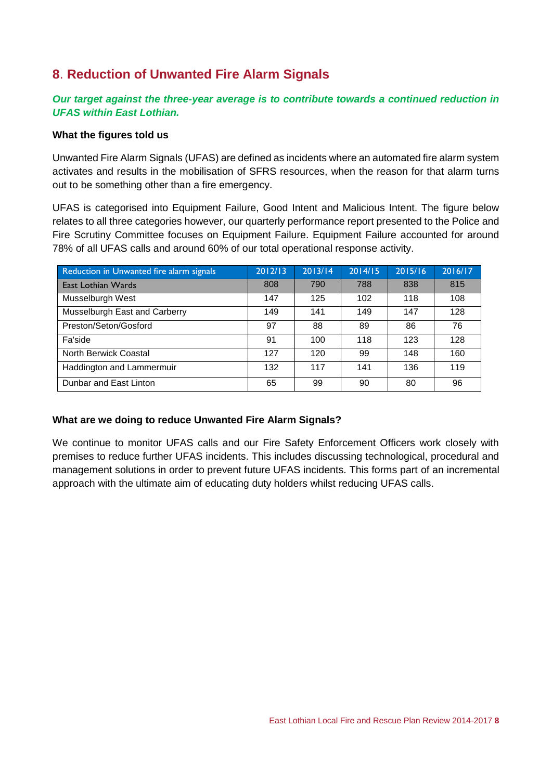# **8**. **Reduction of Unwanted Fire Alarm Signals**

### *Our target against the three-year average is to contribute towards a continued reduction in UFAS within East Lothian.*

#### **What the figures told us**

Unwanted Fire Alarm Signals (UFAS) are defined as incidents where an automated fire alarm system activates and results in the mobilisation of SFRS resources, when the reason for that alarm turns out to be something other than a fire emergency.

UFAS is categorised into Equipment Failure, Good Intent and Malicious Intent. The figure below relates to all three categories however, our quarterly performance report presented to the Police and Fire Scrutiny Committee focuses on Equipment Failure. Equipment Failure accounted for around 78% of all UFAS calls and around 60% of our total operational response activity.

| Reduction in Unwanted fire alarm signals | 2012/13 | 2013/14 | 2014/15 | 2015/16 | 2016/17 |
|------------------------------------------|---------|---------|---------|---------|---------|
| East Lothian Wards                       | 808     | 790     | 788     | 838     | 815     |
| Musselburgh West                         | 147     | 125     | 102     | 118     | 108     |
| Musselburgh East and Carberry            | 149     | 141     | 149     | 147     | 128     |
| Preston/Seton/Gosford                    | 97      | 88      | 89      | 86      | 76      |
| Fa'side                                  | 91      | 100     | 118     | 123     | 128     |
| North Berwick Coastal                    | 127     | 120     | 99      | 148     | 160     |
| Haddington and Lammermuir                | 132     | 117     | 141     | 136     | 119     |
| Dunbar and East Linton                   | 65      | 99      | 90      | 80      | 96      |

#### **What are we doing to reduce Unwanted Fire Alarm Signals?**

We continue to monitor UFAS calls and our Fire Safety Enforcement Officers work closely with premises to reduce further UFAS incidents. This includes discussing technological, procedural and management solutions in order to prevent future UFAS incidents. This forms part of an incremental approach with the ultimate aim of educating duty holders whilst reducing UFAS calls.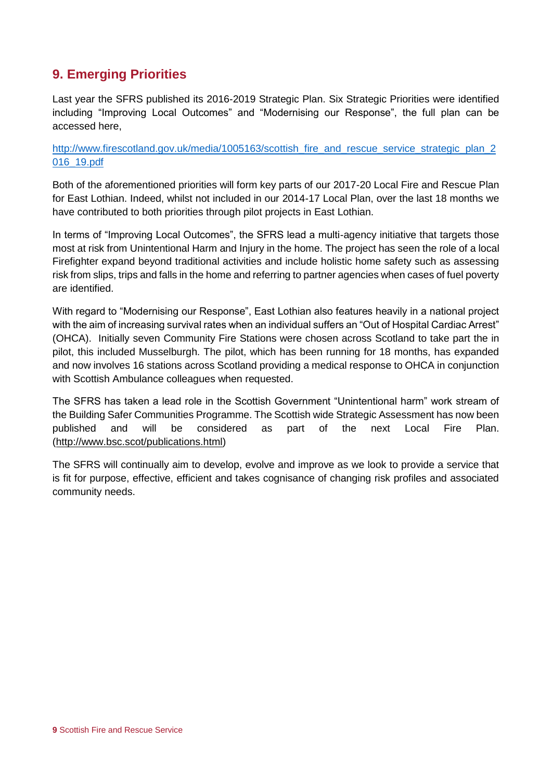# **9. Emerging Priorities**

Last year the SFRS published its 2016-2019 Strategic Plan. Six Strategic Priorities were identified including "Improving Local Outcomes" and "Modernising our Response", the full plan can be accessed here,

[http://www.firescotland.gov.uk/media/1005163/scottish\\_fire\\_and\\_rescue\\_service\\_strategic\\_plan\\_2](http://www.firescotland.gov.uk/media/1005163/scottish_fire_and_rescue_service_strategic_plan_2016_19.pdf) [016\\_19.pdf](http://www.firescotland.gov.uk/media/1005163/scottish_fire_and_rescue_service_strategic_plan_2016_19.pdf)

Both of the aforementioned priorities will form key parts of our 2017-20 Local Fire and Rescue Plan for East Lothian. Indeed, whilst not included in our 2014-17 Local Plan, over the last 18 months we have contributed to both priorities through pilot projects in East Lothian.

In terms of "Improving Local Outcomes", the SFRS lead a multi-agency initiative that targets those most at risk from Unintentional Harm and Injury in the home. The project has seen the role of a local Firefighter expand beyond traditional activities and include holistic home safety such as assessing risk from slips, trips and falls in the home and referring to partner agencies when cases of fuel poverty are identified.

With regard to "Modernising our Response", East Lothian also features heavily in a national project with the aim of increasing survival rates when an individual suffers an "Out of Hospital Cardiac Arrest" (OHCA). Initially seven Community Fire Stations were chosen across Scotland to take part the in pilot, this included Musselburgh. The pilot, which has been running for 18 months, has expanded and now involves 16 stations across Scotland providing a medical response to OHCA in conjunction with Scottish Ambulance colleagues when requested.

The SFRS has taken a lead role in the Scottish Government "Unintentional harm" work stream of the Building Safer Communities Programme. The Scottish wide Strategic Assessment has now been published and will be considered as part of the next Local Fire Plan. [\(http://www.bsc.scot/publications.html\)](http://www.bsc.scot/publications.html)

The SFRS will continually aim to develop, evolve and improve as we look to provide a service that is fit for purpose, effective, efficient and takes cognisance of changing risk profiles and associated community needs.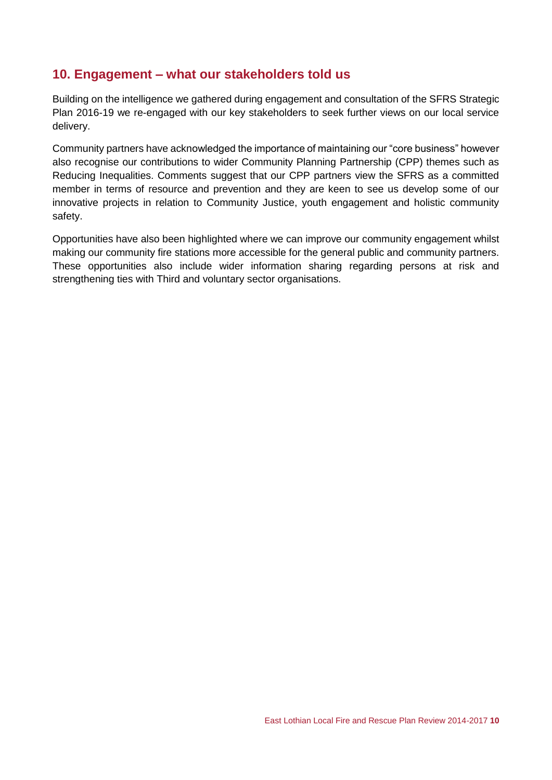### **10. Engagement – what our stakeholders told us**

Building on the intelligence we gathered during engagement and consultation of the SFRS Strategic Plan 2016-19 we re-engaged with our key stakeholders to seek further views on our local service delivery.

Community partners have acknowledged the importance of maintaining our "core business" however also recognise our contributions to wider Community Planning Partnership (CPP) themes such as Reducing Inequalities. Comments suggest that our CPP partners view the SFRS as a committed member in terms of resource and prevention and they are keen to see us develop some of our innovative projects in relation to Community Justice, youth engagement and holistic community safety.

Opportunities have also been highlighted where we can improve our community engagement whilst making our community fire stations more accessible for the general public and community partners. These opportunities also include wider information sharing regarding persons at risk and strengthening ties with Third and voluntary sector organisations.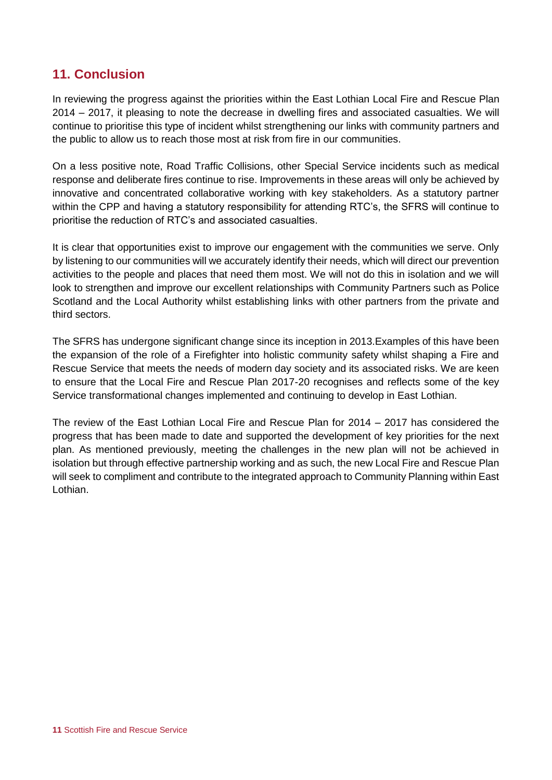# **11. Conclusion**

In reviewing the progress against the priorities within the East Lothian Local Fire and Rescue Plan 2014 – 2017, it pleasing to note the decrease in dwelling fires and associated casualties. We will continue to prioritise this type of incident whilst strengthening our links with community partners and the public to allow us to reach those most at risk from fire in our communities.

On a less positive note, Road Traffic Collisions, other Special Service incidents such as medical response and deliberate fires continue to rise. Improvements in these areas will only be achieved by innovative and concentrated collaborative working with key stakeholders. As a statutory partner within the CPP and having a statutory responsibility for attending RTC's, the SFRS will continue to prioritise the reduction of RTC's and associated casualties.

It is clear that opportunities exist to improve our engagement with the communities we serve. Only by listening to our communities will we accurately identify their needs, which will direct our prevention activities to the people and places that need them most. We will not do this in isolation and we will look to strengthen and improve our excellent relationships with Community Partners such as Police Scotland and the Local Authority whilst establishing links with other partners from the private and third sectors.

The SFRS has undergone significant change since its inception in 2013.Examples of this have been the expansion of the role of a Firefighter into holistic community safety whilst shaping a Fire and Rescue Service that meets the needs of modern day society and its associated risks. We are keen to ensure that the Local Fire and Rescue Plan 2017-20 recognises and reflects some of the key Service transformational changes implemented and continuing to develop in East Lothian.

The review of the East Lothian Local Fire and Rescue Plan for 2014 – 2017 has considered the progress that has been made to date and supported the development of key priorities for the next plan. As mentioned previously, meeting the challenges in the new plan will not be achieved in isolation but through effective partnership working and as such, the new Local Fire and Rescue Plan will seek to compliment and contribute to the integrated approach to Community Planning within East Lothian.